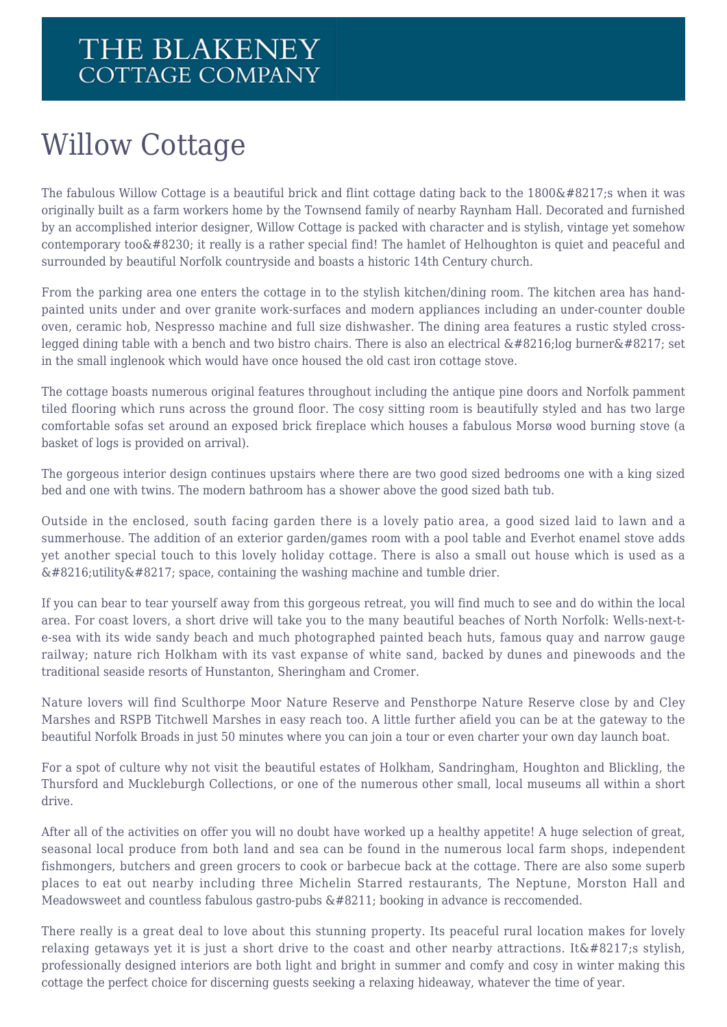## Willow Cottage

The fabulous Willow Cottage is a beautiful brick and flint cottage dating back to the 1800's when it was originally built as a farm workers home by the Townsend family of nearby Raynham Hall. Decorated and furnished by an accomplished interior designer, Willow Cottage is packed with character and is stylish, vintage yet somehow contemporary too  $\&\#8230$ ; it really is a rather special find! The hamlet of Helhoughton is quiet and peaceful and surrounded by beautiful Norfolk countryside and boasts a historic 14th Century church.

From the parking area one enters the cottage in to the stylish kitchen/dining room. The kitchen area has handpainted units under and over granite work-surfaces and modern appliances including an under-counter double oven, ceramic hob, Nespresso machine and full size dishwasher. The dining area features a rustic styled crosslegged dining table with a bench and two bistro chairs. There is also an electrical  $\&\#8216$ ; log burner $\&\#8217$ ; set in the small inglenook which would have once housed the old cast iron cottage stove.

The cottage boasts numerous original features throughout including the antique pine doors and Norfolk pamment tiled flooring which runs across the ground floor. The cosy sitting room is beautifully styled and has two large comfortable sofas set around an exposed brick fireplace which houses a fabulous Morsø wood burning stove (a basket of logs is provided on arrival).

The gorgeous interior design continues upstairs where there are two good sized bedrooms one with a king sized bed and one with twins. The modern bathroom has a shower above the good sized bath tub.

Outside in the enclosed, south facing garden there is a lovely patio area, a good sized laid to lawn and a summerhouse. The addition of an exterior garden/games room with a pool table and Everhot enamel stove adds yet another special touch to this lovely holiday cottage. There is also a small out house which is used as a  $\&\#8216$ ; utility  $&\#8217$ ; space, containing the washing machine and tumble drier.

If you can bear to tear yourself away from this gorgeous retreat, you will find much to see and do within the local area. For coast lovers, a short drive will take you to the many beautiful beaches of North Norfolk: Wells-next-te-sea with its wide sandy beach and much photographed painted beach huts, famous quay and narrow gauge railway; nature rich Holkham with its vast expanse of white sand, backed by dunes and pinewoods and the traditional seaside resorts of Hunstanton, Sheringham and Cromer.

Nature lovers will find Sculthorpe Moor Nature Reserve and Pensthorpe Nature Reserve close by and Cley Marshes and RSPB Titchwell Marshes in easy reach too. A little further afield you can be at the gateway to the beautiful Norfolk Broads in just 50 minutes where you can join a tour or even charter your own day launch boat.

For a spot of culture why not visit the beautiful estates of Holkham, Sandringham, Houghton and Blickling, the Thursford and Muckleburgh Collections, or one of the numerous other small, local museums all within a short drive.

After all of the activities on offer you will no doubt have worked up a healthy appetite! A huge selection of great, seasonal local produce from both land and sea can be found in the numerous local farm shops, independent fishmongers, butchers and green grocers to cook or barbecue back at the cottage. There are also some superb places to eat out nearby including three Michelin Starred restaurants, The Neptune, Morston Hall and Meadowsweet and countless fabulous gastro-pubs  $& 48211$ ; booking in advance is reccomended.

There really is a great deal to love about this stunning property. Its peaceful rural location makes for lovely relaxing getaways yet it is just a short drive to the coast and other nearby attractions. It  $\&\#8217$ ; stylish, professionally designed interiors are both light and bright in summer and comfy and cosy in winter making this cottage the perfect choice for discerning guests seeking a relaxing hideaway, whatever the time of year.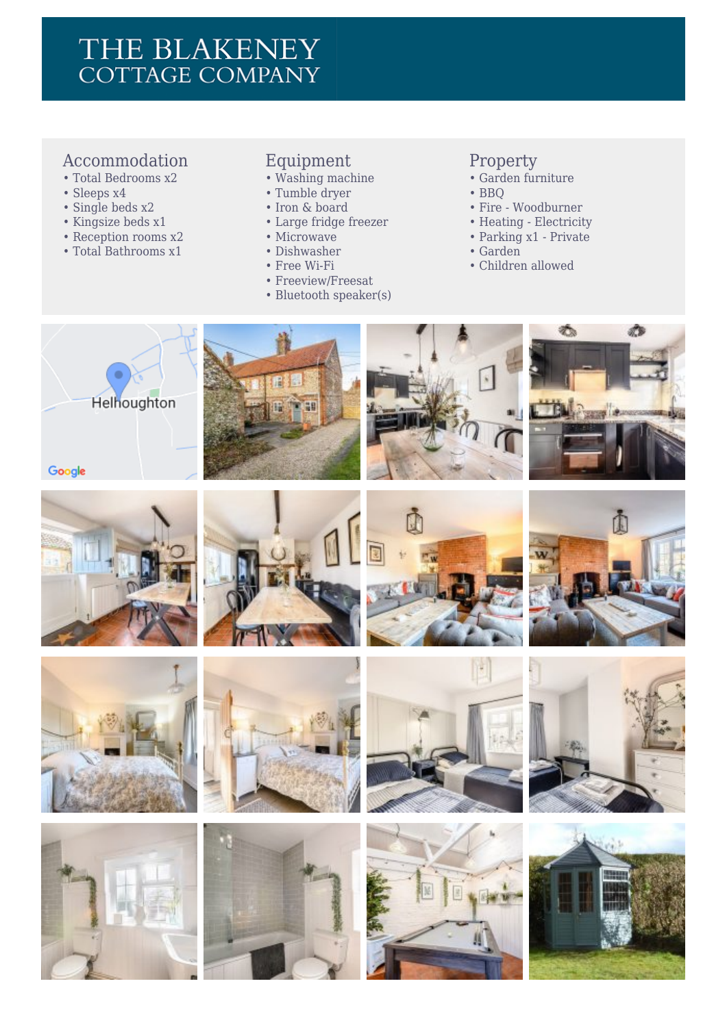### THE BLAKENEY **COTTAGE COMPANY**

#### Accommodation

- Total Bedrooms x2
- Sleeps x4
- Single beds x2
- Kingsize beds x1
- Reception rooms x2
- Total Bathrooms x1

#### Equipment

- Washing machine
- Tumble dryer
- Iron & board
- Large fridge freezer
- Microwave
- Dishwasher
- Free Wi-Fi
- Freeview/Freesat
- Bluetooth speaker(s)

#### Property

- Garden furniture
- BBQ
- Fire Woodburner
- Heating Electricity
- Parking x1 Private
- Garden
- Children allowed











48